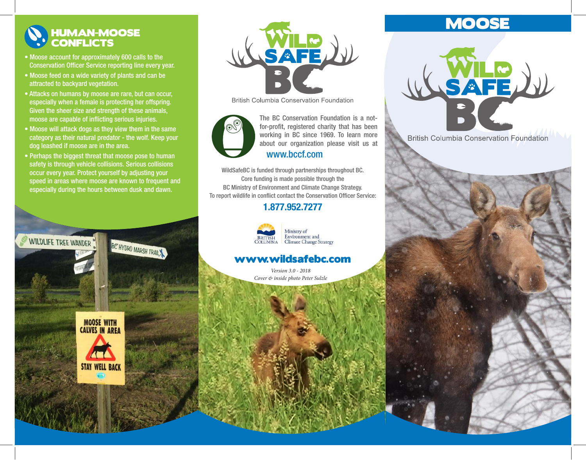## HUMAN-MOOSE **CONFLICTS**

- Moose account for approximately 600 calls to the Conservation Officer Service reporting line every year.
- Moose feed on a wide variety of plants and can be attracted to backyard vegetation.
- Attacks on humans by moose are rare, but can occur, especially when a female is protecting her offspring. Given the sheer size and strength of these animals, moose are capable of inflicting serious injuries.
- Moose will attack dogs as they view them in the same category as their natural predator - the wolf. Keep your dog leashed if moose are in the area.
- Perhaps the biggest threat that moose pose to human safety is through vehicle collisions. Serious collisions occur every year. Protect yourself by adjusting your speed in areas where moose are known to frequent and especially during the hours between dusk and dawn.

BC HYDRO MARSH TRAILY

WILDLIFE TREE WANDER





**British Columbia Conservation Foundation** 



working in BC since 1969. To learn more about our organization please visit us at The BC Conservation Foundation is a notfor-profit, registered charity that has been www.bccf.com

WildSafeBC is funded through partnerships throughout BC. Core funding is made possible through the BC Ministry of Environment and Climate Change Strategy. To report wildlife in conflict contact the Conservation Officer Service:

## 1.877.952.7277



Ministry of Environment and<br>Climate Change Strategy

## www.wildsafebc.com

*Version 3.0 - 2018 Cover & inside photo Peter Sulzle*

# **MOOSE**